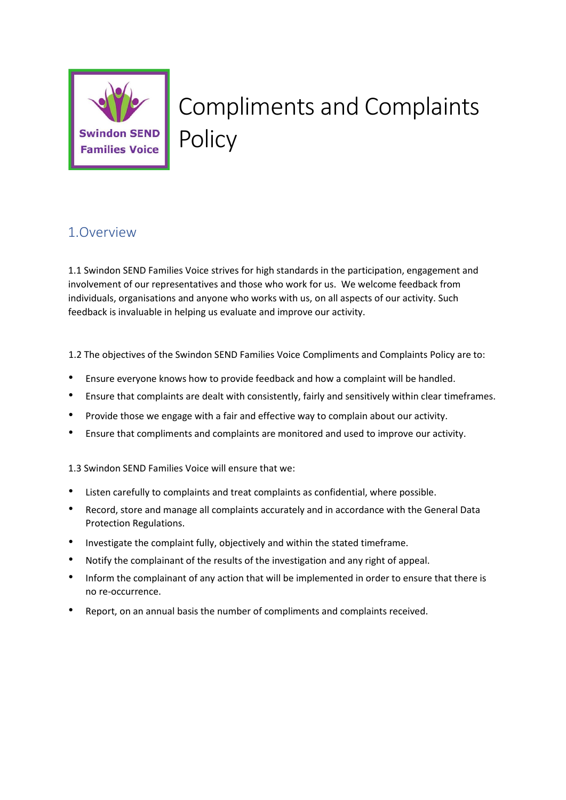

# Compliments and Complaints **Policy**

# 1.Overview

1.1 Swindon SEND Families Voice strives for high standards in the participation, engagement and involvement of our representatives and those who work for us. We welcome feedback from individuals, organisations and anyone who works with us, on all aspects of our activity. Such feedback is invaluable in helping us evaluate and improve our activity.

1.2 The objectives of the Swindon SEND Families Voice Compliments and Complaints Policy are to:

- Ensure everyone knows how to provide feedback and how a complaint will be handled.
- Ensure that complaints are dealt with consistently, fairly and sensitively within clear timeframes.
- Provide those we engage with a fair and effective way to complain about our activity.
- Ensure that compliments and complaints are monitored and used to improve our activity.

1.3 Swindon SEND Families Voice will ensure that we:

- Listen carefully to complaints and treat complaints as confidential, where possible.
- Record, store and manage all complaints accurately and in accordance with the General Data Protection Regulations.
- Investigate the complaint fully, objectively and within the stated timeframe.
- Notify the complainant of the results of the investigation and any right of appeal.
- Inform the complainant of any action that will be implemented in order to ensure that there is no re-occurrence.
- Report, on an annual basis the number of compliments and complaints received.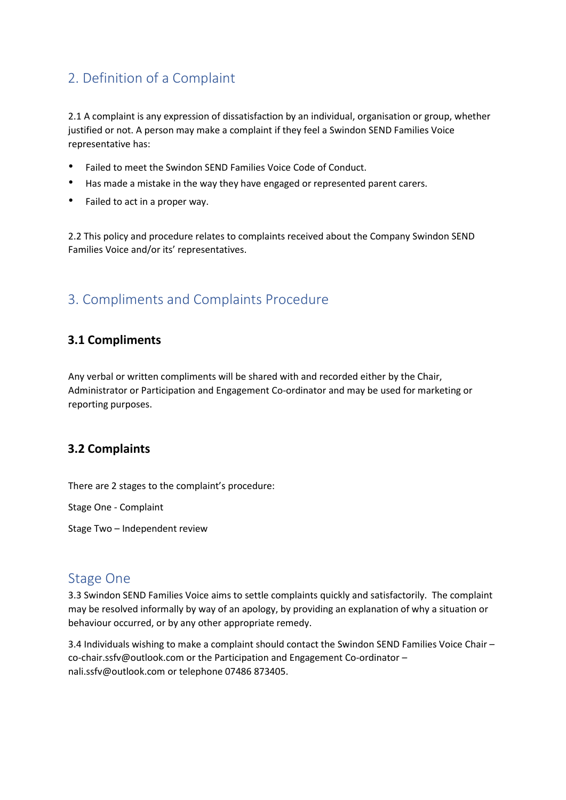# 2. Definition of a Complaint

2.1 A complaint is any expression of dissatisfaction by an individual, organisation or group, whether justified or not. A person may make a complaint if they feel a Swindon SEND Families Voice representative has:

- Failed to meet the Swindon SEND Families Voice Code of Conduct.
- Has made a mistake in the way they have engaged or represented parent carers.
- Failed to act in a proper way.

2.2 This policy and procedure relates to complaints received about the Company Swindon SEND Families Voice and/or its' representatives.

# 3. Compliments and Complaints Procedure

#### **3.1 Compliments**

Any verbal or written compliments will be shared with and recorded either by the Chair, Administrator or Participation and Engagement Co-ordinator and may be used for marketing or reporting purposes.

#### **3.2 Complaints**

There are 2 stages to the complaint's procedure:

Stage One - Complaint

Stage Two – Independent review

#### Stage One

3.3 Swindon SEND Families Voice aims to settle complaints quickly and satisfactorily. The complaint may be resolved informally by way of an apology, by providing an explanation of why a situation or behaviour occurred, or by any other appropriate remedy.

3.4 Individuals wishing to make a complaint should contact the Swindon SEND Families Voice Chair – co-chair.ssfv@outlook.com or the Participation and Engagement Co-ordinator – nali.ssfv@outlook.com or telephone 07486 873405.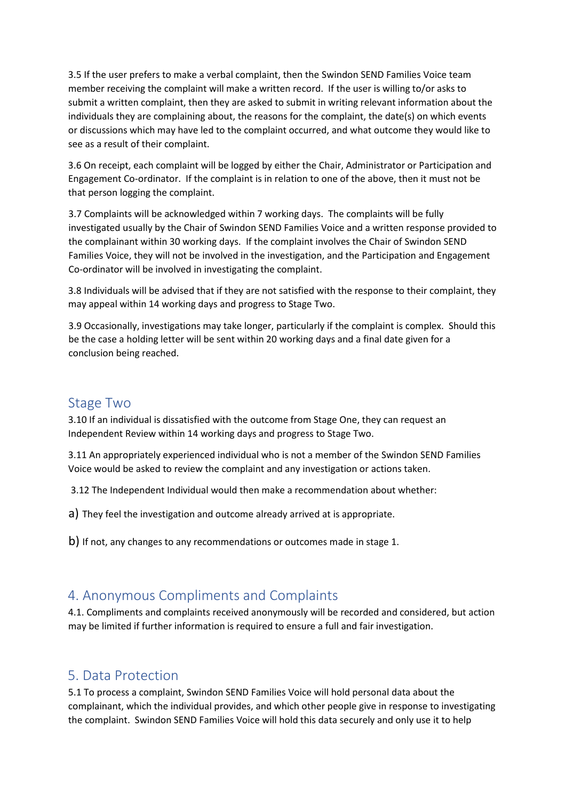3.5 If the user prefers to make a verbal complaint, then the Swindon SEND Families Voice team member receiving the complaint will make a written record. If the user is willing to/or asks to submit a written complaint, then they are asked to submit in writing relevant information about the individuals they are complaining about, the reasons for the complaint, the date(s) on which events or discussions which may have led to the complaint occurred, and what outcome they would like to see as a result of their complaint.

3.6 On receipt, each complaint will be logged by either the Chair, Administrator or Participation and Engagement Co-ordinator. If the complaint is in relation to one of the above, then it must not be that person logging the complaint.

3.7 Complaints will be acknowledged within 7 working days. The complaints will be fully investigated usually by the Chair of Swindon SEND Families Voice and a written response provided to the complainant within 30 working days. If the complaint involves the Chair of Swindon SEND Families Voice, they will not be involved in the investigation, and the Participation and Engagement Co-ordinator will be involved in investigating the complaint.

3.8 Individuals will be advised that if they are not satisfied with the response to their complaint, they may appeal within 14 working days and progress to Stage Two.

3.9 Occasionally, investigations may take longer, particularly if the complaint is complex. Should this be the case a holding letter will be sent within 20 working days and a final date given for a conclusion being reached.

#### Stage Two

3.10 If an individual is dissatisfied with the outcome from Stage One, they can request an Independent Review within 14 working days and progress to Stage Two.

3.11 An appropriately experienced individual who is not a member of the Swindon SEND Families Voice would be asked to review the complaint and any investigation or actions taken.

3.12 The Independent Individual would then make a recommendation about whether:

a) They feel the investigation and outcome already arrived at is appropriate.

b) If not, any changes to any recommendations or outcomes made in stage 1.

### 4. Anonymous Compliments and Complaints

4.1. Compliments and complaints received anonymously will be recorded and considered, but action may be limited if further information is required to ensure a full and fair investigation.

#### 5. Data Protection

5.1 To process a complaint, Swindon SEND Families Voice will hold personal data about the complainant, which the individual provides, and which other people give in response to investigating the complaint. Swindon SEND Families Voice will hold this data securely and only use it to help